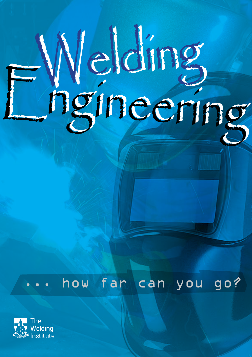# Nelding<br>Pgineering

how far can you go?

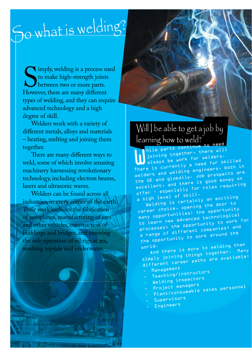# So what is welding?

Imply, welding is a process used<br>to make high-strength joints<br>between two or more parts.<br>However, there are many different to make high-strength joints between two or more parts. However, there are many different types of welding, and they can require advanced technology and a high degree of skill.

Welders work with a variety of different metals, alloys and materials – heating, melting and joining them together.

There are many different ways to weld, some of which involve amazing machinery harnessing revolutionary technology, including electron beams, lasers and ultrasonic waves.

Welders can be found across all industries, in every corner of the earth. Their work includes the fabrication of aeroplanes, manufacturing of cars and other vehicles, construction of buildings and bridges, and ensuring the safe operation of oil rigs at sea, working topside and underwater.

# Will I be able to get a job by

learning how to weld? b hile parts continue to need<br>joining together, there will<br>always be work for welders. nile parts comert<br>joining together, there will<br>ink for welders. always be work for welders. There is currently a need for skille<sup>d</sup> welders and welding engineers, both in the UK and globally. Job prospects are excellent, and there is good money on offer - especially for roles requiring a high level of skill.

Welding is certainly an exciting career choice, opening the door to many opportunities: the opportunity to learn new advanced technological processes; the opportunity to work for a range of different companies; and the opportunity to work around the

world. And there is more to welding than simply joining things together. Many different career paths are available:<br>- Management

- 
- \_ Management<br>\_ Teaching/instructors<br>\_ Teaching/instructors
- Welding inspectors
- Project managers Plant/consumable sales personne<sup>l</sup>
- 
- Supervisors
- Engineers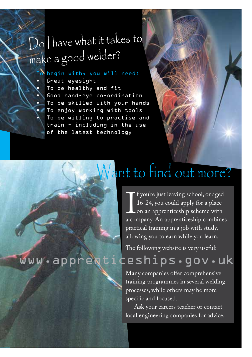## Do I have what it takes to make a good welder?

To begin with, you will need:

• Great eyesight To be healthy and fit • Good hand-eye co-ordination To be skilled with your hands To enjoy working with tools To be willing to practise and train – including in the use of the latest technology

## ant to find out more?

1981 Pour Bart Leaving Benoot, of uged<br>16-24, you could apply for a place<br>a company. An apprenticeship combines f you're just leaving school, or aged 16-24, you could apply for a place on an apprenticeship scheme with practical training in a job with study, allowing you to earn while you learn.

The following website is very useful:

#### www.apprenticeships.gov.uk

Many companies offer comprehensive training programmes in several welding processes, while others may be more specific and focused.

Ask your careers teacher or contact local engineering companies for advice.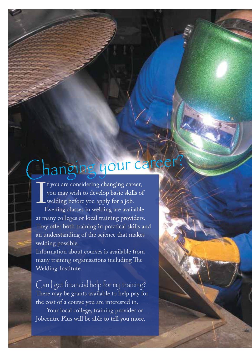## **Changing your career?**

 $\mathbf{I}_{\mathbf{r}}$  $\Gamma$  f you are considering changing career, you may wish to develop basic skills of welding before you apply for a job. Evening classes in welding are available at many colleges or local training providers. They offer both training in practical skills and an understanding of the science that makes welding possible.

Information about courses is available from many training organisations including The Welding Institute.

 $Can$  get financial help for my training? There may be grants available to help pay for the cost of a course you are interested in.

Your local college, training provider or Jobcentre Plus will be able to tell you more.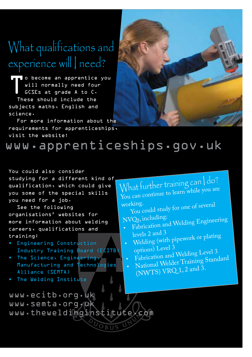### What qualifications and experience will need?

To become an apprentice you<br>will normally need four<br>GCSEs at grade A to C.<br>These should include the will normally need four GCSEs at grade A to C. These should include the subjects maths, English and science.

For more information about the requirements for apprenticeships, visit the website:



www.apprenticeships.gov.uk

You could also consider studying for a different kind of qualification, which could give you some of the special skills you need for a job.

See the following organisations' websites for more information about welding careers, qualifications and training:

- Engineering Construction Industry Training Board (ECITB)
- The Science, Engineering, Manufacturing and Technologies Alliance (SEMTA)
- The Welding Institute

www.ecitb.org.uk www.semta.org.nk www.theweldinginstitute.com

What further training can I do? You can continue to learn while you are

working. You could study for one of several

- NVQs, including:
- •Fabrication and Welding Engineering<br>levels 2 and 3 levels 2 and 3
- evers  $2 \text{ and } 6$ <br>• Welding (with pipework or plating options) Level 3
- Fabrication and Welding Level 3
- •• National Welder Training Standard (NWTS) VRQ 1, 2 and 3.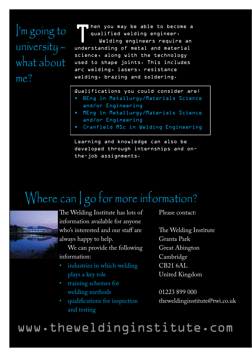I'm going to university – what about me?

Then you may be able to become a<br>qualified welding engineer.<br>Welding engineers require an qualified welding engineer. Welding engineers require an understanding of metal and material science, along with the technology used to shape joints. This includes arc welding, lasers, resistance welding, brazing and soldering.

#### Qualifications you could consider are:

- BEng in Metallurgy/Materials Science and/or Engineering
- MEng in Metallurgy/Materials Science and/or Engineering
- Cranfield MSc in Welding Engineering

Learning and knowledge can also be developed through internships and onthe-job assignments.

### Where can | go for more information?



The Welding Institute has lots of information available for anyone who's interested and our staff are always happy to help.

We can provide the following information:

- industries in which welding plays a key role
- training schemes for welding methods
- qualifications for inspection and testing

Please contact:

The Welding Institute Granta Park Great Abington Cambridge CB21 6AL United Kingdom

01223 899 000 theweldinginstitute@twi.co.uk

#### www.theweldinginstitute.com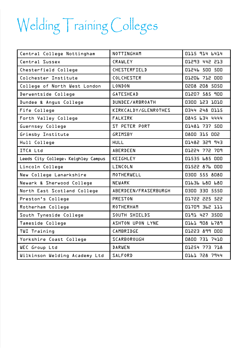## Welding Training Colleges

| Central College Nottingham          | NOTTINGHAM                  | 0115 914 6414        |
|-------------------------------------|-----------------------------|----------------------|
| Central Sussex                      | <b>CRAWLFY</b>              | 01293 442 213        |
| Chesterfield College                | CHESTERFIELD                | 01246 500 500        |
| Colchester Institute                | <b>COLCHESTER</b>           | 01206 712 000        |
| College of North West London        | LONDON                      | 0208 208 5050        |
| Derwentside College                 | <b>GATFSHFAD</b>            | 01207 585 900        |
| Dundee & Angus College              | DUNDEE/ARBROATH             | 0300 123 1010        |
| Fife College                        | KIRKCALDY/GLENROTHES        | 0344 248 0115        |
| Forth Valley College                | <b>FALKIRK</b>              | 0845 634 4444        |
| Guernsey College                    | <b>ST PETER PORT</b>        | <b>01481 737 500</b> |
| Grimsby Institute                   | GRIMSBY                     | 0800 315 002         |
| Hull College                        | <b>HULL</b>                 | 546 555 58410        |
| <b>ITCA Ltd</b>                     | ABERDEEN                    | 01224 772 709        |
| Leeds City College, Keighley Campus | KEIGHLEY                    | <b>01535 685 000</b> |
| Lincoln College                     | LINCOLN                     | 01522 876 000        |
| New College Lanarkshire             | MOTHERWELL                  | 0300 555 8080        |
| Newark & Sherwood College           | <b>NEWARK</b>               | <b>O1636 680 680</b> |
| North East Scotland College         | <b>ABERDEEN/FRASERBURGH</b> | 0300 330 5550        |
| Preston's College                   | PRESTON                     | 01722 225 522        |
| Rotherham College                   | <b>ROTHERHAM</b>            | O1709 362 111        |
| South Tyneside College              | <b>SOUTH SHIELDS</b>        | 0191 427 3500        |
| Tameside College                    | <b>ASHTON UPON LYNE</b>     | <b>Ol61 908 6789</b> |
| TWI Training                        | CAMBRIDGE                   | 01223 899 000        |
| Yorkshire Coast College             | SCARBOROUGH                 | 0800 731 7410        |
| <b>WEC Group Ltd</b>                | <b>DARWEN</b>               | 01254 773 718        |
| Wilkinson Welding Academy Ltd       | <b>SALFORD</b>              | <b>Ol61 728 7944</b> |